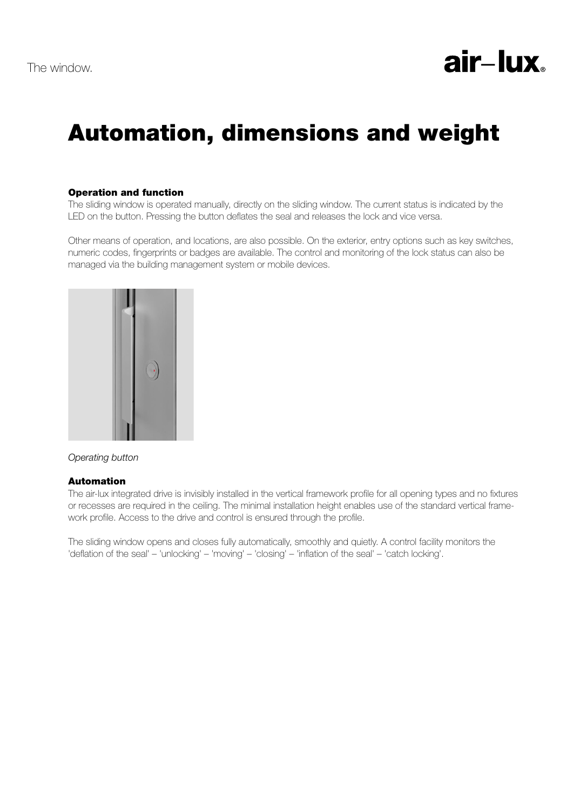# air-lux

# Automation, dimensions and weight

# Operation and function

The sliding window is operated manually, directly on the sliding window. The current status is indicated by the LED on the button. Pressing the button deflates the seal and releases the lock and vice versa.

Other means of operation, and locations, are also possible. On the exterior, entry options such as key switches, numeric codes, fingerprints or badges are available. The control and monitoring of the lock status can also be managed via the building management system or mobile devices.



*Operating button*

#### Automation

The air-lux integrated drive is invisibly installed in the vertical framework profile for all opening types and no fixtures or recesses are required in the ceiling. The minimal installation height enables use of the standard vertical framework profile. Access to the drive and control is ensured through the profile.

The sliding window opens and closes fully automatically, smoothly and quietly. A control facility monitors the 'deflation of the seal' – 'unlocking' – 'moving' – 'closing' – 'inflation of the seal' – 'catch locking'.